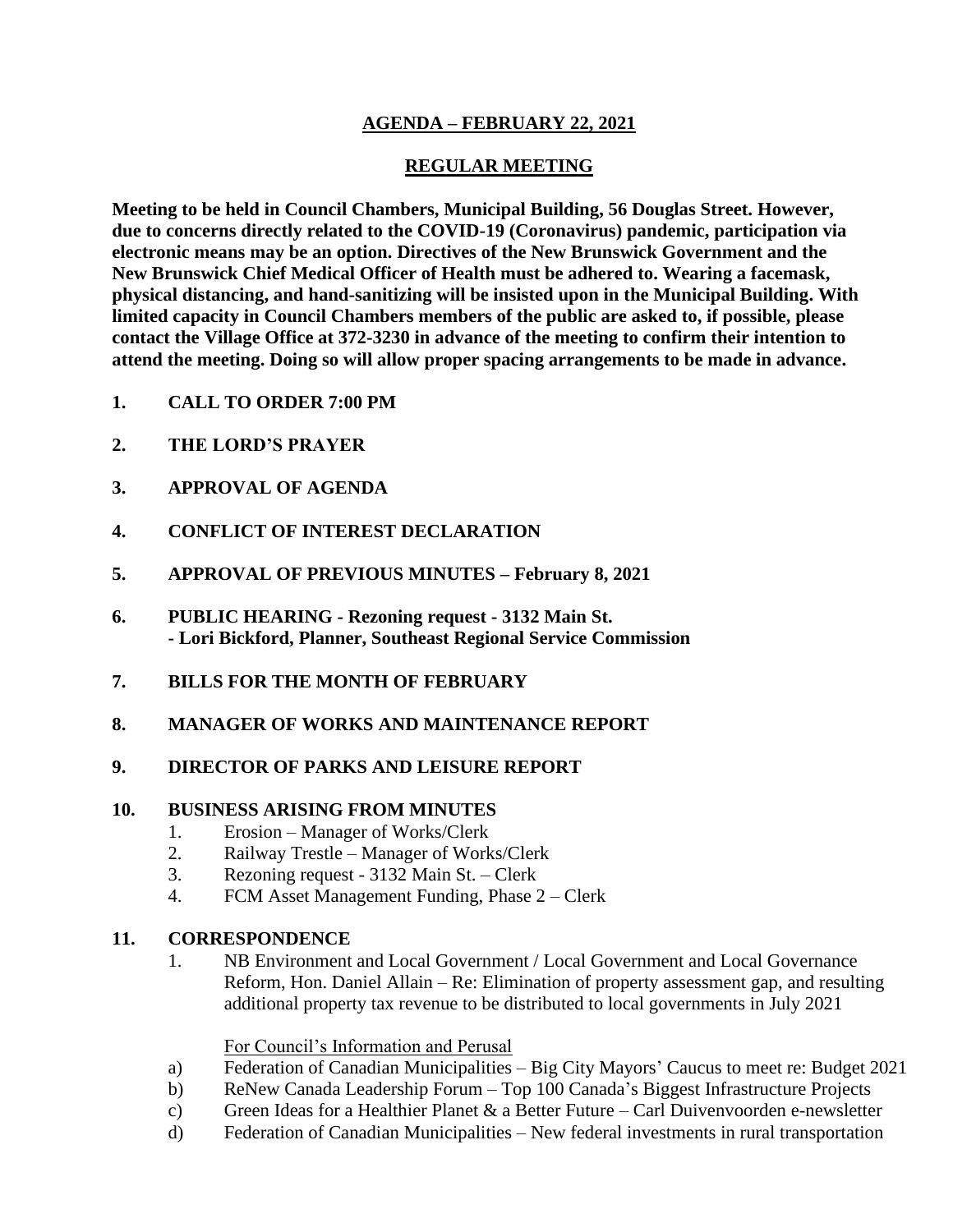# **AGENDA – FEBRUARY 22, 2021**

# **REGULAR MEETING**

**Meeting to be held in Council Chambers, Municipal Building, 56 Douglas Street. However, due to concerns directly related to the COVID-19 (Coronavirus) pandemic, participation via electronic means may be an option. Directives of the New Brunswick Government and the New Brunswick Chief Medical Officer of Health must be adhered to. Wearing a facemask, physical distancing, and hand-sanitizing will be insisted upon in the Municipal Building. With limited capacity in Council Chambers members of the public are asked to, if possible, please contact the Village Office at 372-3230 in advance of the meeting to confirm their intention to attend the meeting. Doing so will allow proper spacing arrangements to be made in advance.**

- **1. CALL TO ORDER 7:00 PM**
- **2. THE LORD'S PRAYER**
- **3. APPROVAL OF AGENDA**
- **4. CONFLICT OF INTEREST DECLARATION**
- **5. APPROVAL OF PREVIOUS MINUTES – February 8, 2021**
- **6. PUBLIC HEARING - Rezoning request - 3132 Main St. - Lori Bickford, Planner, Southeast Regional Service Commission**
- **7. BILLS FOR THE MONTH OF FEBRUARY**
- **8. MANAGER OF WORKS AND MAINTENANCE REPORT**

## **9. DIRECTOR OF PARKS AND LEISURE REPORT**

## **10. BUSINESS ARISING FROM MINUTES**

- 1. Erosion Manager of Works/Clerk
- 2. Railway Trestle Manager of Works/Clerk
- 3. Rezoning request 3132 Main St. Clerk
- 4. FCM Asset Management Funding, Phase 2 Clerk

#### **11. CORRESPONDENCE**

1. NB Environment and Local Government / Local Government and Local Governance Reform, Hon. Daniel Allain – Re: Elimination of property assessment gap, and resulting additional property tax revenue to be distributed to local governments in July 2021

#### For Council's Information and Perusal

- a) Federation of Canadian Municipalities Big City Mayors' Caucus to meet re: Budget 2021
- b) ReNew Canada Leadership Forum Top 100 Canada's Biggest Infrastructure Projects
- c) Green Ideas for a Healthier Planet  $\&$  a Better Future Carl Duivenvoorden e-newsletter
- d) Federation of Canadian Municipalities New federal investments in rural transportation